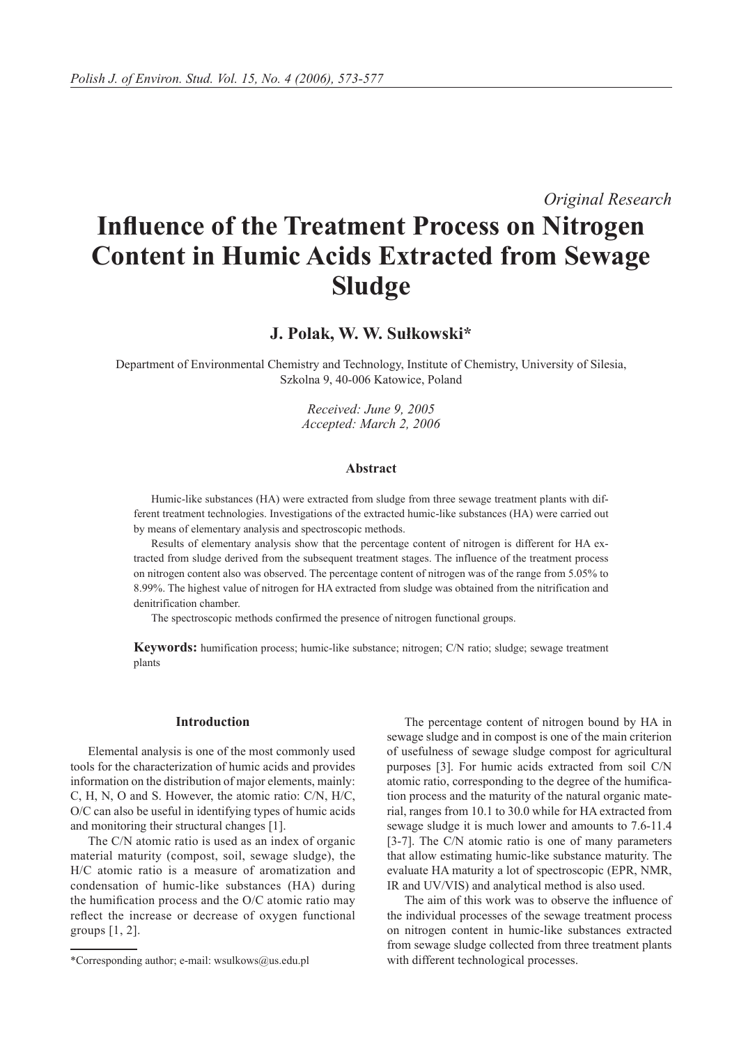*Original Research*

# **Influence of the Treatment Process on Nitrogen Content in Humic Acids Extracted from Sewage Sludge**

# **J. Polak, W. W. Sułkowski\***

Department of Environmental Chemistry and Technology, Institute of Chemistry, University of Silesia, Szkolna 9, 40-006 Katowice, Poland

> *Received: June 9, 2005 Accepted: March 2, 2006*

#### **Abstract**

Humic-like substances (HA) were extracted from sludge from three sewage treatment plants with different treatment technologies. Investigations of the extracted humic-like substances (HA) were carried out by means of elementary analysis and spectroscopic methods.

Results of elementary analysis show that the percentage content of nitrogen is different for HA extracted from sludge derived from the subsequent treatment stages. The influence of the treatment process on nitrogen content also was observed. The percentage content of nitrogen was of the range from 5.05% to 8.99%. The highest value of nitrogen for HA extracted from sludge was obtained from the nitrification and denitrification chamber.

The spectroscopic methods confirmed the presence of nitrogen functional groups.

**Keywords:** humification process; humic-like substance; nitrogen; C/N ratio; sludge; sewage treatment plants

#### **Introduction**

Elemental analysis is one of the most commonly used tools for the characterization of humic acids and provides information on the distribution of major elements, mainly: C, H, N, O and S. However, the atomic ratio: C/N, H/C, O/C can also be useful in identifying types of humic acids and monitoring their structural changes [1].

The C/N atomic ratio is used as an index of organic material maturity (compost, soil, sewage sludge), the H/C atomic ratio is a measure of aromatization and condensation of humic-like substances (HA) during the humification process and the O/C atomic ratio may reflect the increase or decrease of oxygen functional groups [1, 2].

The percentage content of nitrogen bound by HA in sewage sludge and in compost is one of the main criterion of usefulness of sewage sludge compost for agricultural purposes [3]. For humic acids extracted from soil C/N atomic ratio, corresponding to the degree of the humification process and the maturity of the natural organic material, ranges from 10.1 to 30.0 while for HA extracted from sewage sludge it is much lower and amounts to 7.6-11.4 [3-7]. The C/N atomic ratio is one of many parameters that allow estimating humic-like substance maturity. The evaluate HA maturity a lot of spectroscopic (EPR, NMR, IR and UV/VIS) and analytical method is also used.

The aim of this work was to observe the influence of the individual processes of the sewage treatment process on nitrogen content in humic-like substances extracted from sewage sludge collected from three treatment plants with different technological processes.

<sup>\*</sup>Corresponding author; e-mail: wsulkows@us.edu.pl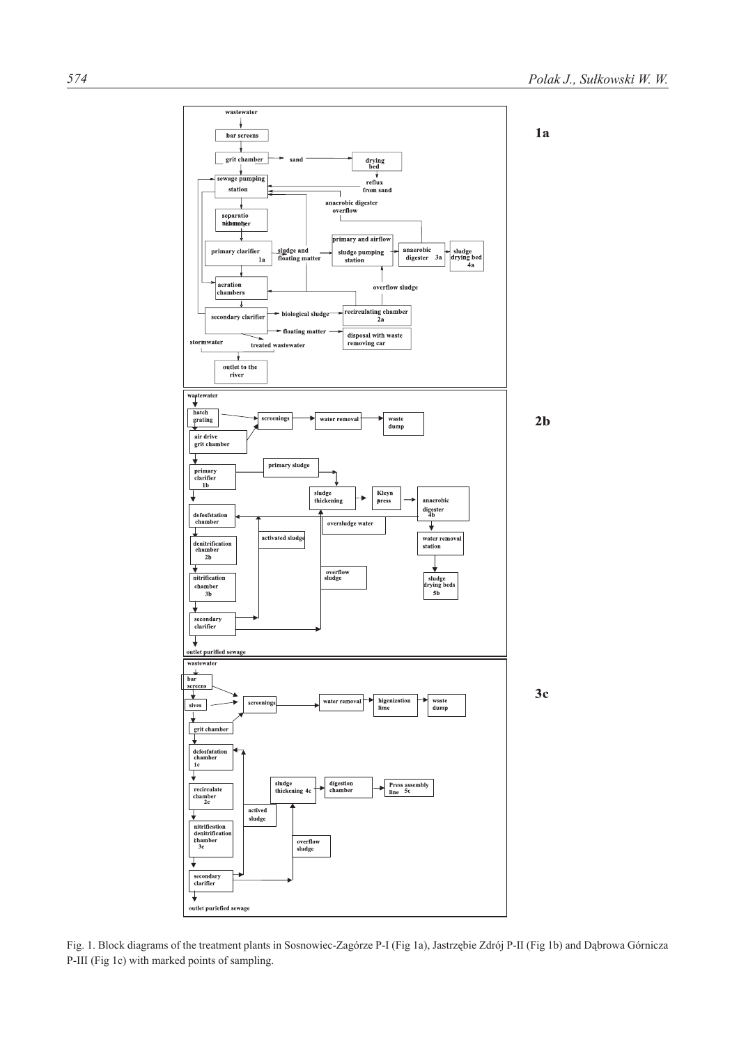

Fig. 1. Block diagrams of the treatment plants in Sosnowiec-Zagórze P-I (Fig 1a), Jastrzębie Zdrój P-II (Fig 1b) and Dąbrowa Górnicza P-III (Fig 1c) with marked points of sampling.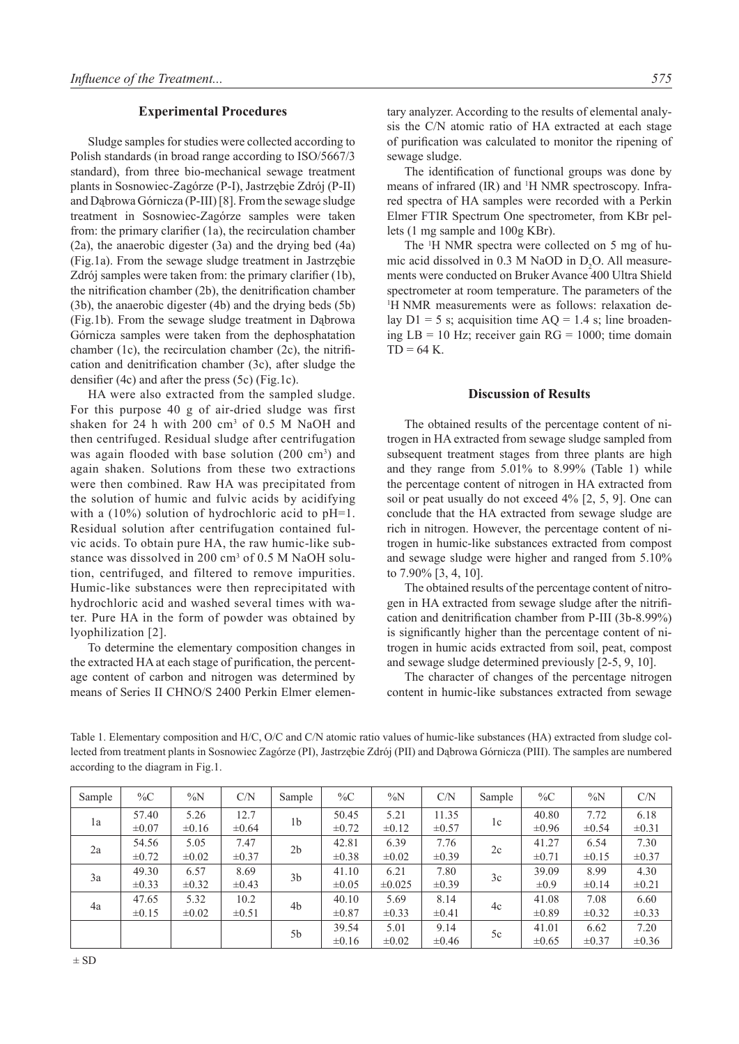#### **Experimental Procedures**

Sludge samples for studies were collected according to Polish standards (in broad range according to ISO/5667/3 standard), from three bio-mechanical sewage treatment plants in Sosnowiec-Zagórze (P-I), Jastrzębie Zdrój (P-II) and Dąbrowa Górnicza (P-III) [8]. From the sewage sludge treatment in Sosnowiec-Zagórze samples were taken from: the primary clarifier (1a), the recirculation chamber (2a), the anaerobic digester (3a) and the drying bed (4a) (Fig.1a). From the sewage sludge treatment in Jastrzębie Zdrój samples were taken from: the primary clarifier (1b), the nitrification chamber (2b), the denitrification chamber (3b), the anaerobic digester (4b) and the drying beds (5b) (Fig.1b). From the sewage sludge treatment in Dąbrowa Górnicza samples were taken from the dephosphatation chamber (1c), the recirculation chamber (2c), the nitrification and denitrification chamber (3c), after sludge the densifier (4c) and after the press (5c) (Fig.1c).

HA were also extracted from the sampled sludge. For this purpose 40 g of air-dried sludge was first shaken for 24 h with 200 cm3 of 0.5 M NaOH and then centrifuged. Residual sludge after centrifugation was again flooded with base solution (200 cm<sup>3</sup>) and again shaken. Solutions from these two extractions were then combined. Raw HA was precipitated from the solution of humic and fulvic acids by acidifying with a (10%) solution of hydrochloric acid to pH=1. Residual solution after centrifugation contained fulvic acids. To obtain pure HA, the raw humic-like substance was dissolved in 200 cm<sup>3</sup> of 0.5 M NaOH solution, centrifuged, and filtered to remove impurities. Humic-like substances were then reprecipitated with hydrochloric acid and washed several times with water. Pure HA in the form of powder was obtained by lyophilization [2].

To determine the elementary composition changes in the extracted HA at each stage of purification, the percentage content of carbon and nitrogen was determined by means of Series II CHNO/S 2400 Perkin Elmer elementary analyzer. According to the results of elemental analysis the C/N atomic ratio of HA extracted at each stage of purification was calculated to monitor the ripening of sewage sludge.

The identification of functional groups was done by means of infrared (IR) and <sup>1</sup>H NMR spectroscopy. Infrared spectra of HA samples were recorded with a Perkin Elmer FTIR Spectrum One spectrometer, from KBr pellets (1 mg sample and 100g KBr).

The <sup>1</sup> H NMR spectra were collected on 5 mg of humic acid dissolved in  $0.3$  M NaOD in  $D_2O$ . All measurements were conducted on Bruker Avance 400 Ultra Shield spectrometer at room temperature. The parameters of the 1 H NMR measurements were as follows: relaxation delay  $D1 = 5$  s; acquisition time  $AQ = 1.4$  s; line broadening  $LB = 10$  Hz; receiver gain  $RG = 1000$ ; time domain  $TD = 64 K$ .

## **Discussion of Results**

The obtained results of the percentage content of nitrogen in HA extracted from sewage sludge sampled from subsequent treatment stages from three plants are high and they range from 5.01% to 8.99% (Table 1) while the percentage content of nitrogen in HA extracted from soil or peat usually do not exceed 4% [2, 5, 9]. One can conclude that the HA extracted from sewage sludge are rich in nitrogen. However, the percentage content of nitrogen in humic-like substances extracted from compost and sewage sludge were higher and ranged from 5.10% to 7.90% [3, 4, 10].

The obtained results of the percentage content of nitrogen in HA extracted from sewage sludge after the nitrification and denitrification chamber from P-III (3b-8.99%) is significantly higher than the percentage content of nitrogen in humic acids extracted from soil, peat, compost and sewage sludge determined previously [2-5, 9, 10].

The character of changes of the percentage nitrogen content in humic-like substances extracted from sewage

Table 1. Elementary composition and H/C, O/C and C/N atomic ratio values of humic-like substances (HA) extracted from sludge collected from treatment plants in Sosnowiec Zagórze (PI), Jastrzębie Zdrój (PII) and Dąbrowa Górnicza (PIII). The samples are numbered according to the diagram in Fig.1.

| Sample | $\%C$               | $\%N$              | C/N                | Sample         | $\%C$               | $\%N$               | C/N                 | Sample | $\%C$               | $\%N$              | C/N                |
|--------|---------------------|--------------------|--------------------|----------------|---------------------|---------------------|---------------------|--------|---------------------|--------------------|--------------------|
| 1a     | 57.40<br>$\pm 0.07$ | 5.26<br>$\pm 0.16$ | 12.7<br>$\pm 0.64$ | 1b             | 50.45<br>$\pm 0.72$ | 5.21<br>$\pm 0.12$  | 11.35<br>$\pm 0.57$ | 1c     | 40.80<br>$\pm 0.96$ | 7.72<br>$\pm 0.54$ | 6.18<br>$\pm 0.31$ |
| 2a     | 54.56<br>$\pm 0.72$ | 5.05<br>$\pm 0.02$ | 7.47<br>$\pm 0.37$ | 2 <sub>b</sub> | 42.81<br>$\pm 0.38$ | 6.39<br>$\pm 0.02$  | 7.76<br>$\pm 0.39$  | 2c     | 41.27<br>$\pm 0.71$ | 6.54<br>$\pm 0.15$ | 7.30<br>$\pm 0.37$ |
| 3a     | 49.30<br>$\pm 0.33$ | 6.57<br>$\pm 0.32$ | 8.69<br>$\pm 0.43$ | 3 <sub>b</sub> | 41.10<br>$\pm 0.05$ | 6.21<br>$\pm 0.025$ | 7.80<br>$\pm 0.39$  | 3c     | 39.09<br>$\pm 0.9$  | 8.99<br>$\pm 0.14$ | 4.30<br>$\pm 0.21$ |
| 4a     | 47.65<br>$\pm 0.15$ | 5.32<br>$\pm 0.02$ | 10.2<br>$\pm 0.51$ | 4b             | 40.10<br>$\pm 0.87$ | 5.69<br>$\pm 0.33$  | 8.14<br>$\pm 0.41$  | 4c     | 41.08<br>$\pm 0.89$ | 7.08<br>$\pm 0.32$ | 6.60<br>$\pm 0.33$ |
|        |                     |                    |                    | 5b             | 39.54<br>$\pm 0.16$ | 5.01<br>$\pm 0.02$  | 9.14<br>$\pm 0.46$  | 5c     | 41.01<br>$\pm 0.65$ | 6.62<br>$\pm 0.37$ | 7.20<br>$\pm 0.36$ |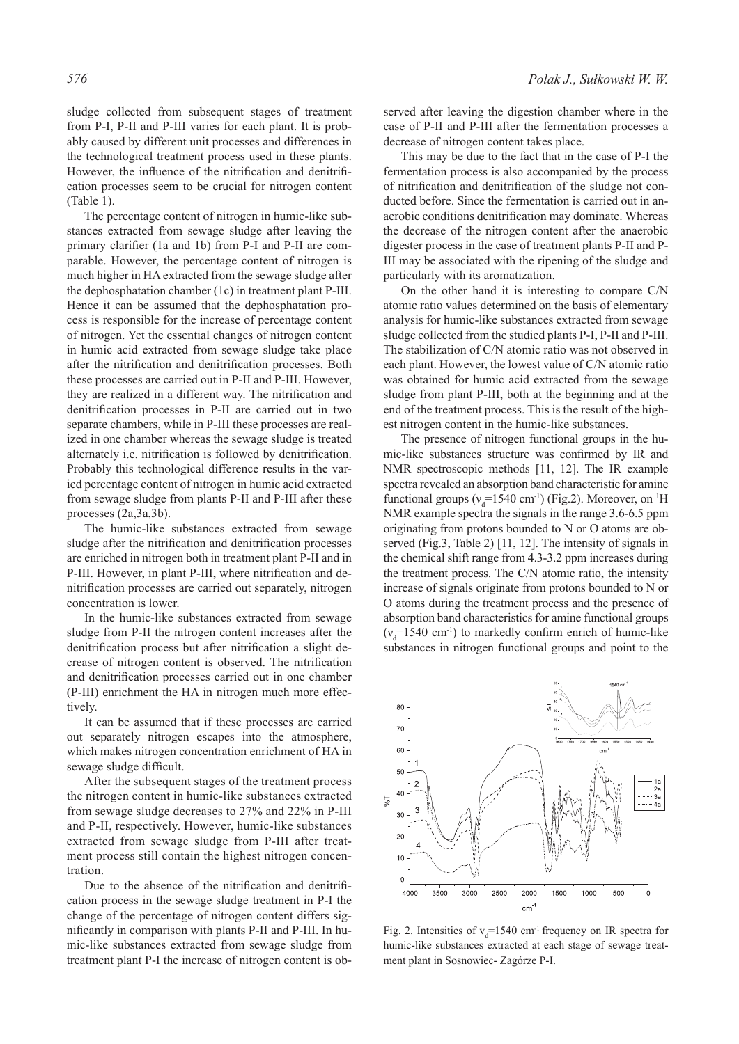sludge collected from subsequent stages of treatment from P-I, P-II and P-III varies for each plant. It is probably caused by different unit processes and differences in the technological treatment process used in these plants. However, the influence of the nitrification and denitrification processes seem to be crucial for nitrogen content (Table 1).

The percentage content of nitrogen in humic-like substances extracted from sewage sludge after leaving the primary clarifier (1a and 1b) from P-I and P-II are comparable. However, the percentage content of nitrogen is much higher in HA extracted from the sewage sludge after the dephosphatation chamber (1c) in treatment plant P-III. Hence it can be assumed that the dephosphatation process is responsible for the increase of percentage content of nitrogen. Yet the essential changes of nitrogen content in humic acid extracted from sewage sludge take place after the nitrification and denitrification processes. Both these processes are carried out in P-II and P-III. However, they are realized in a different way. The nitrification and denitrification processes in P-II are carried out in two separate chambers, while in P-III these processes are realized in one chamber whereas the sewage sludge is treated alternately i.e. nitrification is followed by denitrification. Probably this technological difference results in the varied percentage content of nitrogen in humic acid extracted from sewage sludge from plants P-II and P-III after these processes (2a,3a,3b).

The humic-like substances extracted from sewage sludge after the nitrification and denitrification processes are enriched in nitrogen both in treatment plant P-II and in P-III. However, in plant P-III, where nitrification and denitrification processes are carried out separately, nitrogen concentration is lower.

In the humic-like substances extracted from sewage sludge from P-II the nitrogen content increases after the denitrification process but after nitrification a slight decrease of nitrogen content is observed. The nitrification and denitrification processes carried out in one chamber (P-III) enrichment the HA in nitrogen much more effectively.

It can be assumed that if these processes are carried out separately nitrogen escapes into the atmosphere, which makes nitrogen concentration enrichment of HA in sewage sludge difficult.

After the subsequent stages of the treatment process the nitrogen content in humic-like substances extracted from sewage sludge decreases to 27% and 22% in P-III and P-II, respectively. However, humic-like substances extracted from sewage sludge from P-III after treatment process still contain the highest nitrogen concentration.

Due to the absence of the nitrification and denitrification process in the sewage sludge treatment in P-I the change of the percentage of nitrogen content differs significantly in comparison with plants P-II and P-III. In humic-like substances extracted from sewage sludge from treatment plant P-I the increase of nitrogen content is observed after leaving the digestion chamber where in the case of P-II and P-III after the fermentation processes a decrease of nitrogen content takes place.

This may be due to the fact that in the case of P-I the fermentation process is also accompanied by the process of nitrification and denitrification of the sludge not conducted before. Since the fermentation is carried out in anaerobic conditions denitrification may dominate. Whereas the decrease of the nitrogen content after the anaerobic digester process in the case of treatment plants P-II and P-III may be associated with the ripening of the sludge and particularly with its aromatization.

On the other hand it is interesting to compare C/N atomic ratio values determined on the basis of elementary analysis for humic-like substances extracted from sewage sludge collected from the studied plants P-I, P-II and P-III. The stabilization of C/N atomic ratio was not observed in each plant. However, the lowest value of C/N atomic ratio was obtained for humic acid extracted from the sewage sludge from plant P-III, both at the beginning and at the end of the treatment process. This is the result of the highest nitrogen content in the humic-like substances.

The presence of nitrogen functional groups in the humic-like substances structure was confirmed by IR and NMR spectroscopic methods [11, 12]. The IR example spectra revealed an absorption band characteristic for amine functional groups ( $v_d$ =1540 cm<sup>-1</sup>) (Fig.2). Moreover, on <sup>1</sup>H NMR example spectra the signals in the range 3.6-6.5 ppm originating from protons bounded to N or O atoms are observed (Fig.3, Table 2) [11, 12]. The intensity of signals in the chemical shift range from 4.3-3.2 ppm increases during the treatment process. The C/N atomic ratio, the intensity increase of signals originate from protons bounded to N or O atoms during the treatment process and the presence of absorption band characteristics for amine functional groups  $(v_d$ =1540 cm<sup>-1</sup>) to markedly confirm enrich of humic-like substances in nitrogen functional groups and point to the



Fig. 2. Intensities of  $v_d$ =1540 cm<sup>-1</sup> frequency on IR spectra for humic-like substances extracted at each stage of sewage treatment plant in Sosnowiec- Zagórze P-I.